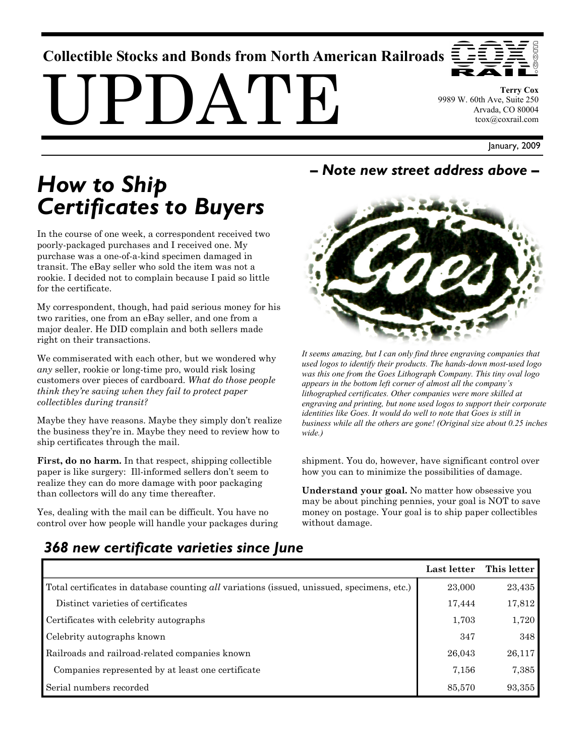# **Collectible Stocks and Bonds from North American Railroads**

 $PI$ ) $A'I$ 

**Terry Cox**  9989 W. 60th Ave, Suite 250 Arvada, CO 80004 tcox@coxrail.com

January, 2009

# *How to Ship Certificates to Buyers*

In the course of one week, a correspondent received two poorly-packaged purchases and I received one. My purchase was a one-of-a-kind specimen damaged in transit. The eBay seller who sold the item was not a rookie. I decided not to complain because I paid so little for the certificate.

My correspondent, though, had paid serious money for his two rarities, one from an eBay seller, and one from a major dealer. He DID complain and both sellers made right on their transactions.

We commiserated with each other, but we wondered why *any* seller, rookie or long-time pro, would risk losing customers over pieces of cardboard. *What do those people think they're saving when they fail to protect paper collectibles during transit?*

Maybe they have reasons. Maybe they simply don't realize the business they're in. Maybe they need to review how to ship certificates through the mail.

**First, do no harm.** In that respect, shipping collectible paper is like surgery: Ill-informed sellers don't seem to realize they can do more damage with poor packaging than collectors will do any time thereafter.

Yes, dealing with the mail can be difficult. You have no control over how people will handle your packages during

#### *– Note new street address above –*



*It seems amazing, but I can only find three engraving companies that used logos to identify their products. The hands-down most-used logo was this one from the Goes Lithograph Company. This tiny oval logo appears in the bottom left corner of almost all the company's lithographed certificates. Other companies were more skilled at engraving and printing, but none used logos to support their corporate identities like Goes. It would do well to note that Goes is still in business while all the others are gone! (Original size about 0.25 inches wide.)* 

shipment. You do, however, have significant control over how you can to minimize the possibilities of damage.

**Understand your goal.** No matter how obsessive you may be about pinching pennies, your goal is NOT to save money on postage. Your goal is to ship paper collectibles without damage.

# *368 new certificate varieties since June*

|                                                                                            | Last letter | This letter |
|--------------------------------------------------------------------------------------------|-------------|-------------|
| Total certificates in database counting all variations (issued, unissued, specimens, etc.) | 23,000      | 23,435      |
| Distinct varieties of certificates                                                         | 17,444      | 17,812      |
| Certificates with celebrity autographs                                                     | 1,703       | 1,720       |
| Celebrity autographs known                                                                 | 347         | 348         |
| Railroads and railroad-related companies known                                             | 26,043      | 26,117      |
| Companies represented by at least one certificate                                          | 7,156       | 7,385       |
| Serial numbers recorded                                                                    | 85,570      | 93,355      |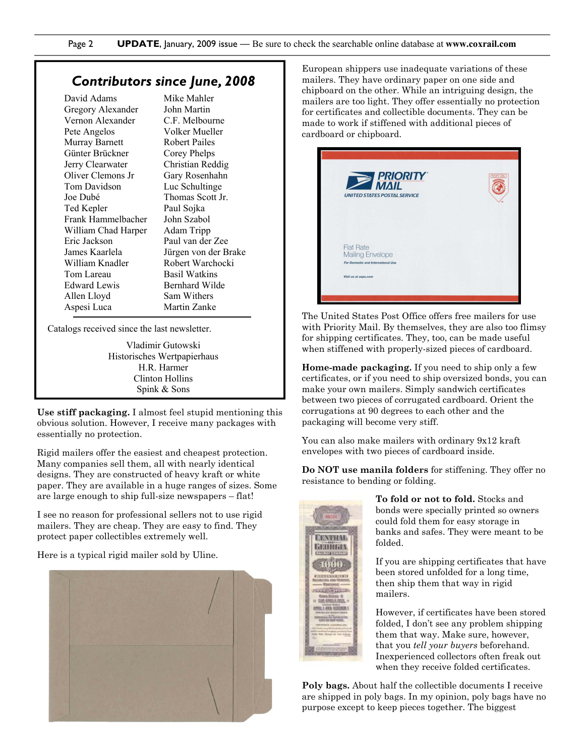#### *Contributors since June, 2008*

| David Adams         | Mike   |  |
|---------------------|--------|--|
| Gregory Alexander   | John   |  |
| Vernon Alexander    | C.F. 1 |  |
| Pete Angelos        | Volk   |  |
| Murray Barnett      | Robe   |  |
| Günter Brückner     | Corey  |  |
| Jerry Clearwater    | Chris  |  |
| Oliver Clemons Jr   | Gary   |  |
| Tom Davidson        | Luc S  |  |
| Joe Dubé            | Thon   |  |
| Ted Kepler          | Paul : |  |
| Frank Hammelbacher  | John   |  |
| William Chad Harper | Adan   |  |
| Eric Jackson        | Paul · |  |
| James Kaarlela      | Jürge  |  |
| William Knadler     | Robe   |  |
| Tom Lareau          | Basil  |  |
| Edward Lewis        | Bernl  |  |
| Allen Lloyd         | Sam `  |  |
| Aspesi Luca         | Marti  |  |

Mahler Martin Melbourne er Mueller ert Pailes y Phelps tian Reddig Rosenhahn Schultinge nas Scott Jr. Sojka Szabol n Tripp van der Zee en von der Brake ert Warchocki Watkins hard Wilde Withers in Zanke

Catalogs received since the last newsletter.

Vladimir Gutowski Historisches Wertpapierhaus H.R. Harmer Clinton Hollins Spink & Sons

**Use stiff packaging.** I almost feel stupid mentioning this obvious solution. However, I receive many packages with essentially no protection.

Rigid mailers offer the easiest and cheapest protection. Many companies sell them, all with nearly identical designs. They are constructed of heavy kraft or white paper. They are available in a huge ranges of sizes. Some are large enough to ship full-size newspapers – flat!

I see no reason for professional sellers not to use rigid mailers. They are cheap. They are easy to find. They protect paper collectibles extremely well.

Here is a typical rigid mailer sold by Uline.



European shippers use inadequate variations of these mailers. They have ordinary paper on one side and chipboard on the other. While an intriguing design, the mailers are too light. They offer essentially no protection for certificates and collectible documents. They can be made to work if stiffened with additional pieces of cardboard or chipboard.



The United States Post Office offers free mailers for use with Priority Mail. By themselves, they are also too flimsy for shipping certificates. They, too, can be made useful when stiffened with properly-sized pieces of cardboard.

**Home-made packaging.** If you need to ship only a few certificates, or if you need to ship oversized bonds, you can make your own mailers. Simply sandwich certificates between two pieces of corrugated cardboard. Orient the corrugations at 90 degrees to each other and the packaging will become very stiff.

You can also make mailers with ordinary 9x12 kraft envelopes with two pieces of cardboard inside.

**Do NOT use manila folders** for stiffening. They offer no resistance to bending or folding.



**To fold or not to fold.** Stocks and bonds were specially printed so owners could fold them for easy storage in banks and safes. They were meant to be folded.

If you are shipping certificates that have been stored unfolded for a long time, then ship them that way in rigid mailers.

However, if certificates have been stored folded, I don't see any problem shipping them that way. Make sure, however, that you *tell your buyers* beforehand. Inexperienced collectors often freak out when they receive folded certificates.

**Poly bags.** About half the collectible documents I receive are shipped in poly bags. In my opinion, poly bags have no purpose except to keep pieces together. The biggest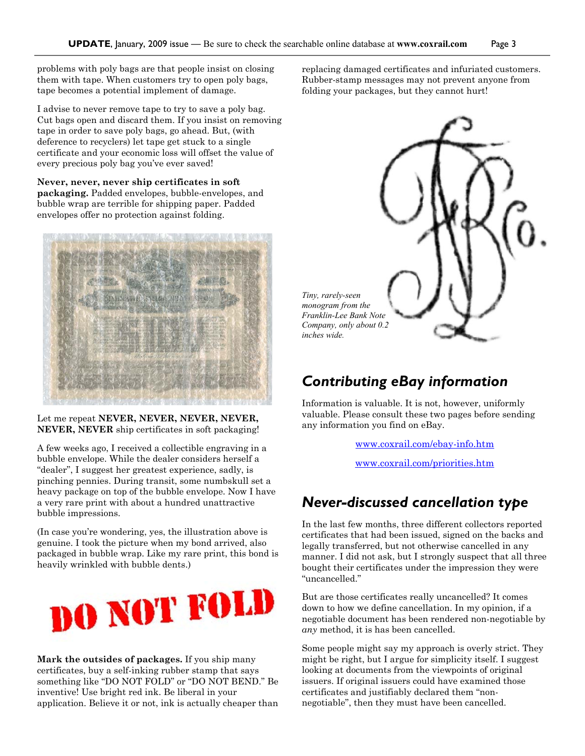problems with poly bags are that people insist on closing them with tape. When customers try to open poly bags, tape becomes a potential implement of damage.

I advise to never remove tape to try to save a poly bag. Cut bags open and discard them. If you insist on removing tape in order to save poly bags, go ahead. But, (with deference to recyclers) let tape get stuck to a single certificate and your economic loss will offset the value of every precious poly bag you've ever saved!

**Never, never, never ship certificates in soft packaging.** Padded envelopes, bubble-envelopes, and bubble wrap are terrible for shipping paper. Padded envelopes offer no protection against folding.



Let me repeat **NEVER, NEVER, NEVER, NEVER, NEVER, NEVER** ship certificates in soft packaging!

A few weeks ago, I received a collectible engraving in a bubble envelope. While the dealer considers herself a "dealer", I suggest her greatest experience, sadly, is pinching pennies. During transit, some numbskull set a heavy package on top of the bubble envelope. Now I have a very rare print with about a hundred unattractive bubble impressions.

(In case you're wondering, yes, the illustration above is genuine. I took the picture when my bond arrived, also packaged in bubble wrap. Like my rare print, this bond is heavily wrinkled with bubble dents.)



**Mark the outsides of packages.** If you ship many certificates, buy a self-inking rubber stamp that says something like "DO NOT FOLD" or "DO NOT BEND." Be inventive! Use bright red ink. Be liberal in your application. Believe it or not, ink is actually cheaper than replacing damaged certificates and infuriated customers. Rubber-stamp messages may not prevent anyone from folding your packages, but they cannot hurt!



### *Contributing eBay information*

Information is valuable. It is not, however, uniformly valuable. Please consult these two pages before sending any information you find on eBay.

www.coxrail.com/ebay-info.htm

www.coxrail.com/priorities.htm

## *Never-discussed cancellation type*

In the last few months, three different collectors reported certificates that had been issued, signed on the backs and legally transferred, but not otherwise cancelled in any manner. I did not ask, but I strongly suspect that all three bought their certificates under the impression they were "uncancelled."

But are those certificates really uncancelled? It comes down to how we define cancellation. In my opinion, if a negotiable document has been rendered non-negotiable by *any* method, it is has been cancelled.

Some people might say my approach is overly strict. They might be right, but I argue for simplicity itself. I suggest looking at documents from the viewpoints of original issuers. If original issuers could have examined those certificates and justifiably declared them "nonnegotiable", then they must have been cancelled.